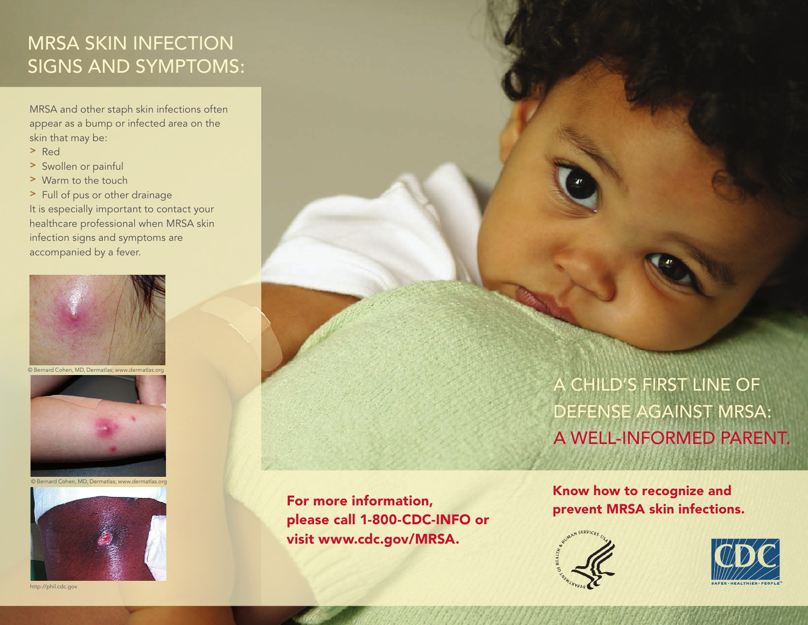## MRSA Skin Infection Signs and Symptoms:

MRSA and other staph skin infections often appear as a bump or infected area on the skin that may be:

- > Red
- > Swollen or painful
- > Warm to the touch
- > Full of pus or other drainage

It is especially important to contact your healthcare professional when MRSA skin infection signs and symptoms are accompanied by a fever.





© Bernard Cohen, MD, Dermatlas; www.dermatlas.org



http://phil.cdc.gov

For more information, please call 1-800-CDC-INFO or visit www.cdc.gov/MRSA.

A child's first line of defense against MRSA: A well-informed PARENT.

Know how to recognize and prevent MRSA skin infections.